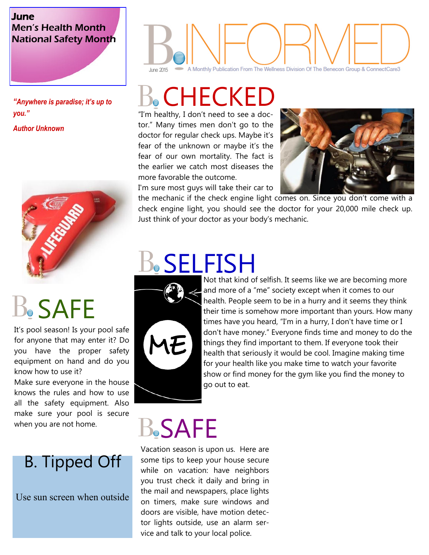#### June Men's Health Month National Safety Month

*"Anywhere is paradise; it's up to you." Author Unknown* 



# **B.** SAFE

It's pool season! Is your pool safe for anyone that may enter it? Do you have the proper safety equipment on hand and do you know how to use it?

Make sure everyone in the house knows the rules and how to use all the safety equipment. Also make sure your pool is secure when you are not home.

#### B. Tipped Off

Use sun screen when outside

### A Monthly Publication From The Wellness Division Of The Benecon Group & ConnectCare3 June 2015

## CHECKED

"I'm healthy, I don't need to see a doctor." Many times men don't go to the doctor for regular check ups. Maybe it's fear of the unknown or maybe it's the fear of our own mortality. The fact is the earlier we catch most diseases the more favorable the outcome.



I'm sure most guys will take their car to

the mechanic if the check engine light comes on. Since you don't come with a check engine light, you should see the doctor for your 20,000 mile check up. Just think of your doctor as your body's mechanic.

# SELFISH



Not that kind of selfish. It seems like we are becoming more and more of a "me" society except when it comes to our health. People seem to be in a hurry and it seems they think their time is somehow more important than yours. How many times have you heard, "I'm in a hurry, I don't have time or I don't have money." Everyone finds time and money to do the things they find important to them. If everyone took their health that seriously it would be cool. Imagine making time for your health like you make time to watch your favorite show or find money for the gym like you find the money to go out to eat.

### **B.SAFE**

Vacation season is upon us. Here are some tips to keep your house secure while on vacation: have neighbors you trust check it daily and bring in the mail and newspapers, place lights on timers, make sure windows and doors are visible, have motion detector lights outside, use an alarm service and talk to your local police.